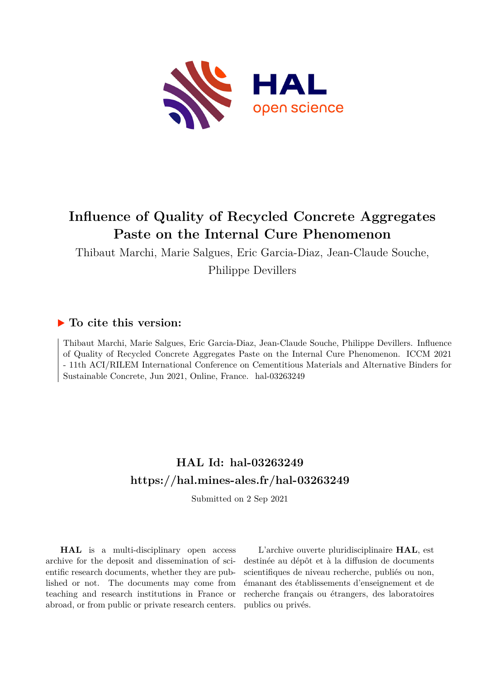

# **Influence of Quality of Recycled Concrete Aggregates Paste on the Internal Cure Phenomenon**

Thibaut Marchi, Marie Salgues, Eric Garcia-Diaz, Jean-Claude Souche, Philippe Devillers

# **To cite this version:**

Thibaut Marchi, Marie Salgues, Eric Garcia-Diaz, Jean-Claude Souche, Philippe Devillers. Influence of Quality of Recycled Concrete Aggregates Paste on the Internal Cure Phenomenon. ICCM 2021 - 11th ACI/RILEM International Conference on Cementitious Materials and Alternative Binders for Sustainable Concrete, Jun 2021, Online, France. hal-03263249

# **HAL Id: hal-03263249 <https://hal.mines-ales.fr/hal-03263249>**

Submitted on 2 Sep 2021

**HAL** is a multi-disciplinary open access archive for the deposit and dissemination of scientific research documents, whether they are published or not. The documents may come from teaching and research institutions in France or abroad, or from public or private research centers.

L'archive ouverte pluridisciplinaire **HAL**, est destinée au dépôt et à la diffusion de documents scientifiques de niveau recherche, publiés ou non, émanant des établissements d'enseignement et de recherche français ou étrangers, des laboratoires publics ou privés.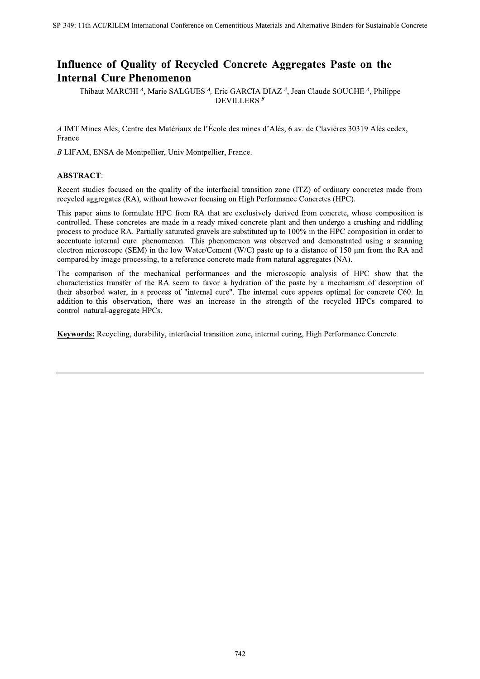# Influence of Quality of Recycled Concrete Aggregates Paste on the **Internal Cure Phenomenon**

Thibaut MARCHI<sup>4</sup>, Marie SALGUES<sup>4</sup>, Eric GARCIA DIAZ<sup>4</sup>, Jean Claude SOUCHE<sup>4</sup>, Philippe **DEVILLERS**<sup>B</sup>

A IMT Mines Alès, Centre des Matériaux de l'École des mines d'Alès, 6 av. de Clavières 30319 Alès cedex, France

B LIFAM, ENSA de Montpellier, Univ Montpellier, France.

## **ABSTRACT:**

Recent studies focused on the quality of the interfacial transition zone (ITZ) of ordinary concretes made from recycled aggregates (RA), without however focusing on High Performance Concretes (HPC).

This paper aims to formulate HPC from RA that are exclusively derived from concrete, whose composition is controlled. These concretes are made in a ready-mixed concrete plant and then undergo a crushing and riddling process to produce RA. Partially saturated gravels are substituted up to 100% in the HPC composition in order to accentuate internal cure phenomenon. This phenomenon was observed and demonstrated using a scanning electron microscope (SEM) in the low Water/Cement (W/C) paste up to a distance of 150 µm from the RA and compared by image processing, to a reference concrete made from natural aggregates (NA).

The comparison of the mechanical performances and the microscopic analysis of HPC show that the characteristics transfer of the RA seem to favor a hydration of the paste by a mechanism of desorption of their absorbed water, in a process of "internal cure". The internal cure appears optimal for concrete C60. In addition to this observation, there was an increase in the strength of the recycled HPCs compared to control natural-aggregate HPCs.

Keywords: Recycling, durability, interfacial transition zone, internal curing, High Performance Concrete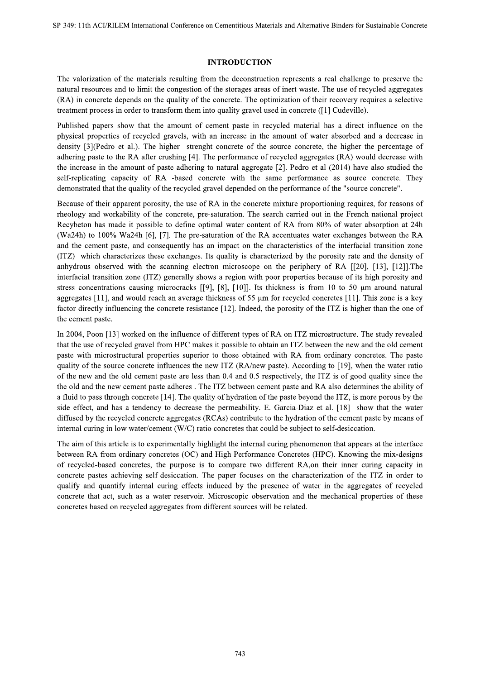#### **INTRODUCTION**

The valorization of the materials resulting from the deconstruction represents a real challenge to preserve the natural resources and to limit the congestion of the storages areas of inert waste. The use of recycled aggregates (RA) in concrete depends on the quality of the concrete. The optimization of their recovery requires a selective treatment process in order to transform them into quality gravel used in concrete ([1] Cudeville).

Published papers show that the amount of cement paste in recycled material has a direct influence on the physical properties of recycled gravels, with an increase in the amount of water absorbed and a decrease in density [3] (Pedro et al.). The higher strenght concrete of the source concrete, the higher the percentage of adhering paste to the RA after crushing [4]. The performance of recycled aggregates (RA) would decrease with the increase in the amount of paste adhering to natural aggregate [2]. Pedro et al  $(2014)$  have also studied the self-replicating capacity of RA -based concrete with the same performance as source concrete. They demonstrated that the quality of the recycled gravel depended on the performance of the "source concrete".

Because of their apparent porosity, the use of RA in the concrete mixture proportioning requires, for reasons of rheology and workability of the concrete, pre-saturation. The search carried out in the French national project Recybeton has made it possible to define optimal water content of RA from 80% of water absorption at 24h (Wa24h) to 100% Wa24h [6], [7]. The pre-saturation of the RA accentuates water exchanges between the RA and the cement paste, and consequently has an impact on the characteristics of the interfacial transition zone (ITZ) which characterizes these exchanges. Its quality is characterized by the porosity rate and the density of anhydrous observed with the scanning electron microscope on the periphery of RA [[20], [13], [12]]. The interfacial transition zone (ITZ) generally shows a region with poor properties because of its high porosity and stress concentrations causing microcracks [[9], [8], [10]]. Its thickness is from 10 to 50  $\mu$ m around natural aggregates [11], and would reach an average thickness of 55  $\mu$ m for recycled concretes [11]. This zone is a key factor directly influencing the concrete resistance [12]. Indeed, the porosity of the ITZ is higher than the one of the cement paste.

In 2004, Poon [13] worked on the influence of different types of RA on ITZ microstructure. The study revealed that the use of recycled gravel from HPC makes it possible to obtain an ITZ between the new and the old cement paste with microstructural properties superior to those obtained with RA from ordinary concretes. The paste quality of the source concrete influences the new ITZ (RA/new paste). According to [19], when the water ratio of the new and the old cement paste are less than 0.4 and 0.5 respectively, the ITZ is of good quality since the the old and the new cement paste adheres. The ITZ between cement paste and RA also determines the ability of a fluid to pass through concrete [14]. The quality of hydration of the paste beyond the ITZ, is more porous by the side effect, and has a tendency to decrease the permeability. E. Garcia-Diaz et al. [18] show that the water diffused by the recycled concrete aggregates (RCAs) contribute to the hydration of the cement paste by means of internal curing in low water/cement (W/C) ratio concretes that could be subject to self-desiccation.

The aim of this article is to experimentally highlight the internal curing phenomenon that appears at the interface between RA from ordinary concretes (OC) and High Performance Concretes (HPC). Knowing the mix-designs of recycled-based concretes, the purpose is to compare two different RA, on their inner curing capacity in concrete pastes achieving self-desiccation. The paper focuses on the characterization of the ITZ in order to qualify and quantify internal curing effects induced by the presence of water in the aggregates of recycled concrete that act, such as a water reservoir. Microscopic observation and the mechanical properties of these concretes based on recycled aggregates from different sources will be related.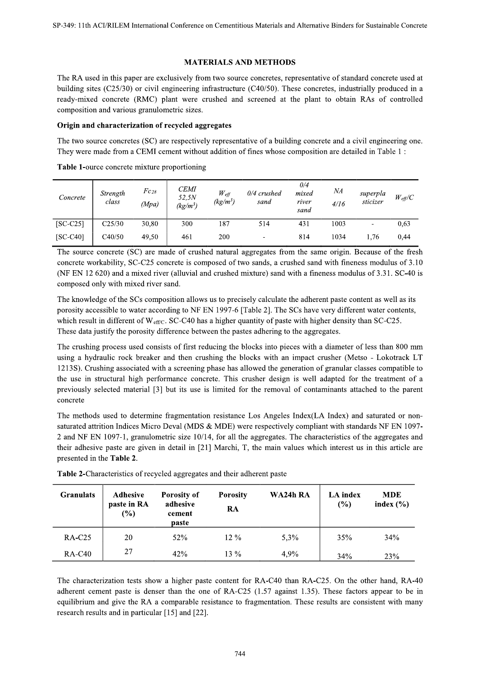### **MATERIALS AND METHODS**

The RA used in this paper are exclusively from two source concretes, representative of standard concrete used at building sites  $(C25/30)$  or civil engineering infrastructure  $(C40/50)$ . These concretes, industrially produced in a ready-mixed concrete (RMC) plant were crushed and screened at the plant to obtain RAs of controlled composition and various granulometric sizes.

#### Origin and characterization of recycled aggregates

The two source concretes (SC) are respectively representative of a building concrete and a civil engineering one. They were made from a CEMI cement without addition of fines whose composition are detailed in Table 1:

Table 1-ource concrete mixture proportioning

| Concrete   | Strength<br>class | $Fc_{28}$<br>(Mpa) | <b>CEMI</b><br>52,5N<br>$(kg/m^3)$ | $W_{\text{eff}}$<br>$(kg/m^3)$ | $0/4$ crushed<br>sand | 0/4<br>mixed<br>river<br>sand | ΝA<br>4/16 | superpla<br>sticizer | $W_{\text{eff}}/C$ |
|------------|-------------------|--------------------|------------------------------------|--------------------------------|-----------------------|-------------------------------|------------|----------------------|--------------------|
| $[SC-C25]$ | C25/30            | 30,80              | 300                                | 187                            | 514                   | 431                           | 1003       |                      | 0,63               |
| $[SC-C40]$ | C40/50            | 49,50              | 461                                | 200                            |                       | 814                           | 1034       | 1.76                 | 0,44               |

The source concrete (SC) are made of crushed natural aggregates from the same origin. Because of the fresh concrete workability, SC-C25 concrete is composed of two sands, a crushed sand with fineness modulus of 3.10 (NF EN 12 620) and a mixed river (alluvial and crushed mixture) sand with a fineness modulus of 3.31. SC-40 is composed only with mixed river sand.

The knowledge of the SCs composition allows us to precisely calculate the adherent paste content as well as its porosity accessible to water according to NF EN 1997-6 [Table 2]. The SCs have very different water contents, which result in different of  $W_{\text{eff/C}}$ . SC-C40 has a higher quantity of paste with higher density than SC-C25. These data justify the porosity difference between the pastes adhering to the aggregates.

The crushing process used consists of first reducing the blocks into pieces with a diameter of less than 800 mm using a hydraulic rock breaker and then crushing the blocks with an impact crusher (Metso - Lokotrack LT 1213S). Crushing associated with a screening phase has allowed the generation of granular classes compatible to the use in structural high performance concrete. This crusher design is well adapted for the treatment of a previously selected material [3] but its use is limited for the removal of contaminants attached to the parent concrete

The methods used to determine fragmentation resistance Los Angeles Index(LA Index) and saturated or nonsaturated attrition Indices Micro Deval (MDS & MDE) were respectively compliant with standards NF EN 1097-2 and NF EN 1097-1, granulometric size 10/14, for all the aggregates. The characteristics of the aggregates and their adhesive paste are given in detail in [21] Marchi, T, the main values which interest us in this article are presented in the Table 2.

| <b>Granulats</b> | <b>Adhesive</b><br>paste in RA<br>$(\%)$ | <b>Porosity of</b><br>adhesive<br>cement<br>paste | <b>Porosity</b><br>RA | WA24h RA | LA index<br>(%) | <b>MDE</b><br>index $(\% )$ |  |
|------------------|------------------------------------------|---------------------------------------------------|-----------------------|----------|-----------------|-----------------------------|--|
| $RA-C25$         | 20                                       | 52%                                               | $12\%$                | 5.3%     | 35%             | 34%                         |  |
| <b>RA-C40</b>    | 27                                       | 42%                                               | $13\%$                | 4,9%     | 34%             | 23%                         |  |

Table 2-Characteristics of recycled aggregates and their adherent paste

The characterization tests show a higher paste content for RA-C40 than RA-C25. On the other hand, RA-40 adherent cement paste is denser than the one of RA-C25 (1.57 against 1.35). These factors appear to be in equilibrium and give the RA a comparable resistance to fragmentation. These results are consistent with many research results and in particular [15] and [22].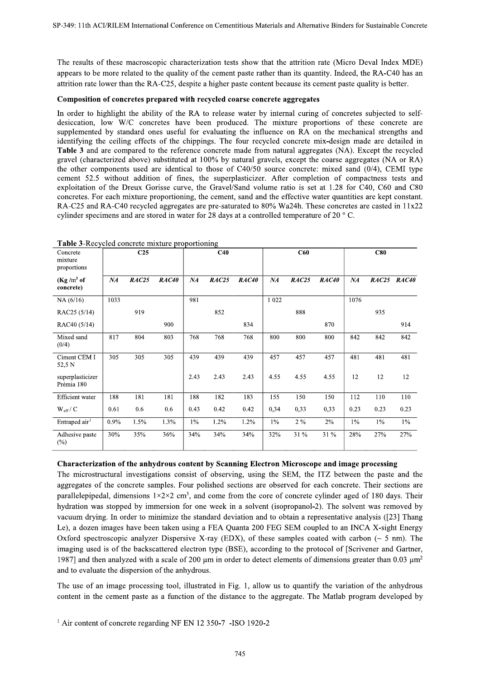The results of these macroscopic characterization tests show that the attrition rate (Micro Deval Index MDE) appears to be more related to the quality of the cement paste rather than its quantity. Indeed, the RA-C40 has an attrition rate lower than the RA-C25, despite a higher paste content because its cement paste quality is better.

#### Composition of concretes prepared with recycled coarse concrete aggregates

In order to highlight the ability of the RA to release water by internal curing of concretes subjected to selfdesiccation, low W/C concretes have been produced. The mixture proportions of these concrete are supplemented by standard ones useful for evaluating the influence on RA on the mechanical strengths and identifying the ceiling effects of the chippings. The four recycled concrete mix-design made are detailed in Table 3 and are compared to the reference concrete made from natural aggregates (NA). Except the recycled gravel (characterized above) substituted at 100% by natural gravels, except the coarse aggregates (NA or RA) the other components used are identical to those of C40/50 source concrete: mixed sand (0/4), CEMI type cement 52.5 without addition of fines, the superplasticizer. After completion of compactness tests and exploitation of the Dreux Gorisse curve, the Gravel/Sand volume ratio is set at 1.28 for C40, C60 and C80 concretes. For each mixture proportioning, the cement, sand and the effective water quantities are kept constant. RA-C25 and RA-C40 recycled aggregates are pre-saturated to 80% Wa24h. These concretes are casted in 11x22 cylinder specimens and are stored in water for 28 days at a controlled temperature of 20  $\degree$  C.

| <b>Table 3-Recycled concrete infature proportioning</b><br>Concrete<br>mixture<br>proportions |      | C <sub>25</sub> |       |       | C40   |       |         | C60   |       |       | C80   |                                     |
|-----------------------------------------------------------------------------------------------|------|-----------------|-------|-------|-------|-------|---------|-------|-------|-------|-------|-------------------------------------|
| $(Kg/m^3$ of<br>concrete)                                                                     | NA   | RAC25           | RAC40 | NA    | RAC25 | RAC40 | NA      | RAC25 | RAC40 | NA    |       | RAC <sub>25</sub> RAC <sub>40</sub> |
| NA(6/16)                                                                                      | 1033 |                 |       | 981   |       |       | 1 0 2 2 |       |       | 1076  |       |                                     |
| RAC25 (5/14)                                                                                  |      | 919             |       |       | 852   |       |         | 888   |       |       | 935   |                                     |
| RAC40 (5/14)                                                                                  |      |                 | 900   |       |       | 834   |         |       | 870   |       |       | 914                                 |
| Mixed sand<br>(0/4)                                                                           | 817  | 804             | 803   | 768   | 768   | 768   | 800     | 800   | 800   | 842   | 842   | 842                                 |
| Ciment CEM I<br>52,5 N                                                                        | 305  | 305             | 305   | 439   | 439   | 439   | 457     | 457   | 457   | 481   | 481   | 481                                 |
| superplasticizer<br>Prémia 180                                                                |      |                 |       | 2.43  | 2.43  | 2.43  | 4.55    | 4.55  | 4.55  | 12    | 12    | 12                                  |
| Efficient water                                                                               | 188  | 181             | 181   | 188   | 182   | 183   | 155     | 150   | 150   | 112   | 110   | 110                                 |
| $W_{\rm eff}$ / $C$                                                                           | 0.61 | 0.6             | 0.6   | 0.43  | 0.42  | 0.42  | 0,34    | 0,33  | 0,33  | 0.23  | 0.23  | 0.23                                |
| Entraped air <sup>1</sup>                                                                     | 0.9% | 1.5%            | 1.3%  | $1\%$ | 1.2%  | 1.2%  | $1\%$   | $2\%$ | $2\%$ | $1\%$ | $1\%$ | $1\%$                               |
| Adhesive paste<br>$(\%)$                                                                      | 30%  | 35%             | 36%   | 34%   | 34%   | 34%   | 32%     | 31 %  | 31 %  | 28%   | 27%   | 27%                                 |

Table 3-Recycled concrete mixture proportioning

#### Characterization of the anhydrous content by Scanning Electron Microscope and image processing

The microstructural investigations consist of observing, using the SEM, the ITZ between the paste and the aggregates of the concrete samples. Four polished sections are observed for each concrete. Their sections are parallelepipedal, dimensions  $1\times2\times2$  cm<sup>3</sup>, and come from the core of concrete cylinder aged of 180 days. Their hydration was stopped by immersion for one week in a solvent (isopropanol-2). The solvent was removed by vacuum drying. In order to minimize the standard deviation and to obtain a representative analysis ([23] Thang Le), a dozen images have been taken using a FEA Quanta 200 FEG SEM coupled to an INCA X-sight Energy Oxford spectroscopic analyzer Dispersive X-ray (EDX), of these samples coated with carbon ( $\sim$  5 nm). The imaging used is of the backscattered electron type (BSE), according to the protocol of [Scrivener and Gartner, 1987] and then analyzed with a scale of 200  $\mu$ m in order to detect elements of dimensions greater than 0.03  $\mu$ m<sup>2</sup> and to evaluate the dispersion of the anhydrous.

The use of an image processing tool, illustrated in Fig. 1, allow us to quantify the variation of the anhydrous content in the cement paste as a function of the distance to the aggregate. The Matlab program developed by

<sup>1</sup> Air content of concrete regarding NF EN 12 350-7 -ISO 1920-2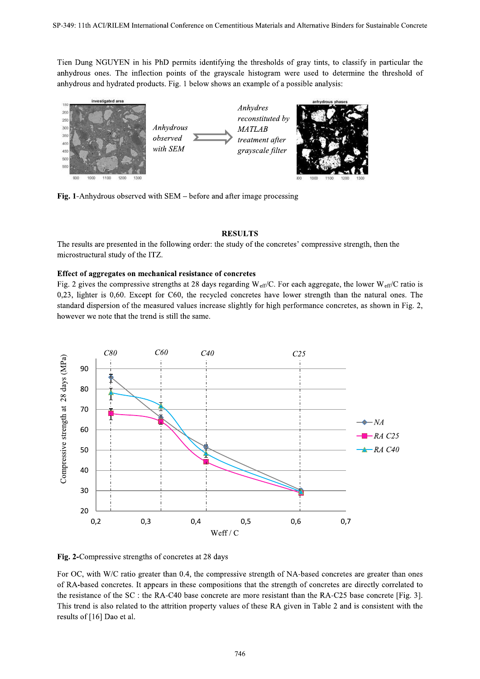Tien Dung NGUYEN in his PhD permits identifying the thresholds of gray tints, to classify in particular the anhydrous ones. The inflection points of the grayscale histogram were used to determine the threshold of anhydrous and hydrated products. Fig. 1 below shows an example of a possible analysis:



Fig. 1-Anhydrous observed with SEM – before and after image processing

## **RESULTS**

The results are presented in the following order: the study of the concretes' compressive strength, then the microstructural study of the ITZ.

# Effect of aggregates on mechanical resistance of concretes

Fig. 2 gives the compressive strengths at 28 days regarding  $W_{\text{eff}}/C$ . For each aggregate, the lower  $W_{\text{eff}}/C$  ratio is  $0,23$ , lighter is  $0,60$ . Except for C60, the recycled concretes have lower strength than the natural ones. The standard dispersion of the measured values increase slightly for high performance concretes, as shown in Fig. 2, however we note that the trend is still the same.



Fig. 2-Compressive strengths of concretes at 28 days

For OC, with W/C ratio greater than 0.4, the compressive strength of NA-based concretes are greater than ones of RA-based concretes. It appears in these compositions that the strength of concretes are directly correlated to the resistance of the SC : the RA-C40 base concrete are more resistant than the RA-C25 base concrete [Fig. 3]. This trend is also related to the attrition property values of these RA given in Table 2 and is consistent with the results of [16] Dao et al.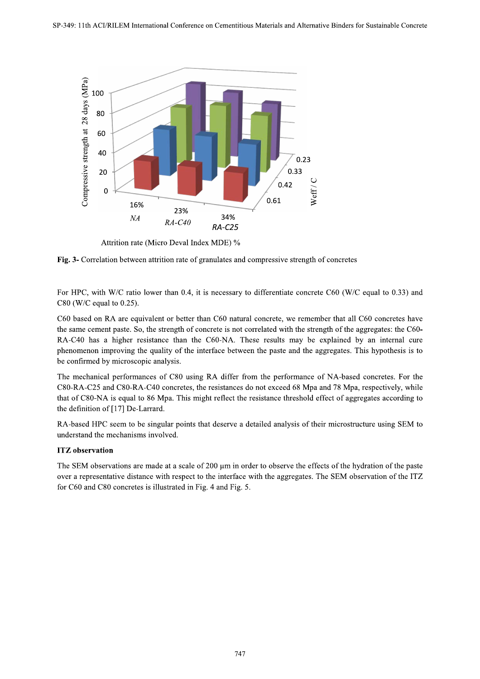

Attrition rate (Micro Deval Index MDE) %

Fig. 3- Correlation between attrition rate of granulates and compressive strength of concretes

For HPC, with W/C ratio lower than 0.4, it is necessary to differentiate concrete C60 (W/C equal to 0.33) and  $C80$  (W/C equal to 0.25).

C60 based on RA are equivalent or better than C60 natural concrete, we remember that all C60 concretes have the same cement paste. So, the strength of concrete is not correlated with the strength of the aggregates: the C60-RA-C40 has a higher resistance than the C60-NA. These results may be explained by an internal cure phenomenon improving the quality of the interface between the paste and the aggregates. This hypothesis is to be confirmed by microscopic analysis.

The mechanical performances of C80 using RA differ from the performance of NA-based concretes. For the C80-RA-C25 and C80-RA-C40 concretes, the resistances do not exceed 68 Mpa and 78 Mpa, respectively, while that of C80-NA is equal to 86 Mpa. This might reflect the resistance threshold effect of aggregates according to the definition of [17] De-Larrard.

RA-based HPC seem to be singular points that deserve a detailed analysis of their microstructure using SEM to understand the mechanisms involved.

# **ITZ** observation

The SEM observations are made at a scale of 200 µm in order to observe the effects of the hydration of the paste over a representative distance with respect to the interface with the aggregates. The SEM observation of the ITZ for C60 and C80 concretes is illustrated in Fig. 4 and Fig. 5.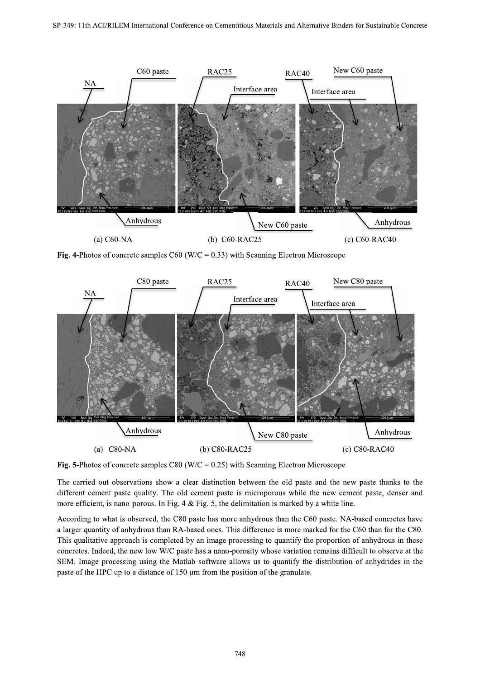

Fig. 4-Photos of concrete samples  $C60$  (W/C = 0.33) with Scanning Electron Microscope



Fig. 5-Photos of concrete samples C80 (W/C =  $0.25$ ) with Scanning Electron Microscope

The carried out observations show a clear distinction between the old paste and the new paste thanks to the different cement paste quality. The old cement paste is microporous while the new cement paste, denser and more efficient, is nano-porous. In Fig. 4 & Fig. 5, the delimitation is marked by a white line. no-porous. In Fig. 4 & Fig. 5, the delimitation is marked by a white line.

According to what is observed, the C80 paste has more anhydrous than the C60 paste. NA-based concretes have a larger quantity of anhydrous than RA-based ones. This difference is more marked for the C60 than for the C80. This qualitative approach is completed by an image processing to quantify the proportion of anhydrous in these concretes. Indeed, the new low W/C paste has a nano-porosity whose variation remains difficult to observe at the SEM. Image processing using the Matlab software allows us to quantify the distribution of anhydrides in the paste of the HPC up to a distance of  $150 \text{ µm}$  from the position of the granulate.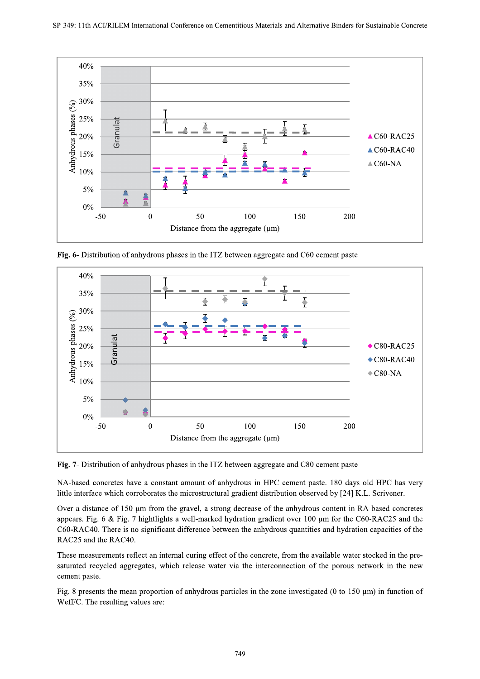

Fig. 6- Distribution of anhydrous phases in the ITZ between aggregate and C60 cement paste



Fig. 7- Distribution of anhydrous phases in the ITZ between aggregate and C80 cement paste

NA-based concretes have a constant amount of anhydrous in HPC cement paste. 180 days old HPC has very little interface which corroborates the microstructural gradient distribution observed by [24] K.L. Scrivener.

Over a distance of 150 µm from the gravel, a strong decrease of the anhydrous content in RA-based concretes appears. Fig. 6 & Fig. 7 hightlights a well-marked hydration gradient over 100  $\mu$ m for the C60-RAC25 and the C60-RAC40. There is no significant difference between the anhydrous quantities and hydration capacities of the RAC25 and the RAC40.

These measurements reflect an internal curing effect of the concrete, from the available water stocked in the presaturated recycled aggregates, which release water via the interconnection of the porous network in the new cement paste.

Fig. 8 presents the mean proportion of anhydrous particles in the zone investigated (0 to 150  $\mu$ m) in function of Weff/C. The resulting values are: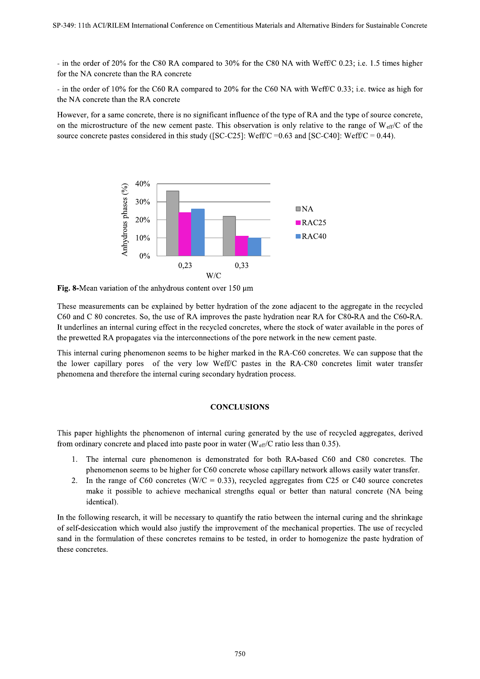- in the order of 20% for the C80 RA compared to 30% for the C80 NA with Weff/C 0.23; i.e. 1.5 times higher for the NA concrete than the RA concrete

- in the order of 10% for the C60 RA compared to 20% for the C60 NA with Weff/C 0.33; i.e. twice as high for the NA concrete than the RA concrete

However, for a same concrete, there is no significant influence of the type of RA and the type of source concrete, on the microstructure of the new cement paste. This observation is only relative to the range of  $W_{\text{eff}}/C$  of the source concrete pastes considered in this study ([SC-C25]: Weff/C = 0.63 and [SC-C40]: Weff/C = 0.44).



Fig. 8-Mean variation of the anhydrous content over  $150 \mu m$ 

These measurements can be explained by better hydration of the zone adjacent to the aggregate in the recycled C60 and C 80 concretes. So, the use of RA improves the paste hydration near RA for C80-RA and the C60-RA. It underlines an internal curing effect in the recycled concretes, where the stock of water available in the pores of the prewetted RA propagates via the interconnections of the pore network in the new cement paste.

This internal curing phenomenon seems to be higher marked in the RA-C60 concretes. We can suppose that the the lower capillary pores of the very low Weff/C pastes in the RA-C80 concretes limit water transfer phenomena and therefore the internal curing secondary hydration process.

## **CONCLUSIONS**

This paper highlights the phenomenon of internal curing generated by the use of recycled aggregates, derived from ordinary concrete and placed into paste poor in water ( $W_{eff}/C$  ratio less than 0.35).

- 1. The internal cure phenomenon is demonstrated for both RA-based C60 and C80 concretes. The phenomenon seems to be higher for C60 concrete whose capillary network allows easily water transfer.
- $2.$ In the range of C60 concretes (W/C = 0.33), recycled aggregates from C25 or C40 source concretes make it possible to achieve mechanical strengths equal or better than natural concrete (NA being identical).

In the following research, it will be necessary to quantify the ratio between the internal curing and the shrinkage of self-desiccation which would also justify the improvement of the mechanical properties. The use of recycled sand in the formulation of these concretes remains to be tested, in order to homogenize the paste hydration of these concretes.